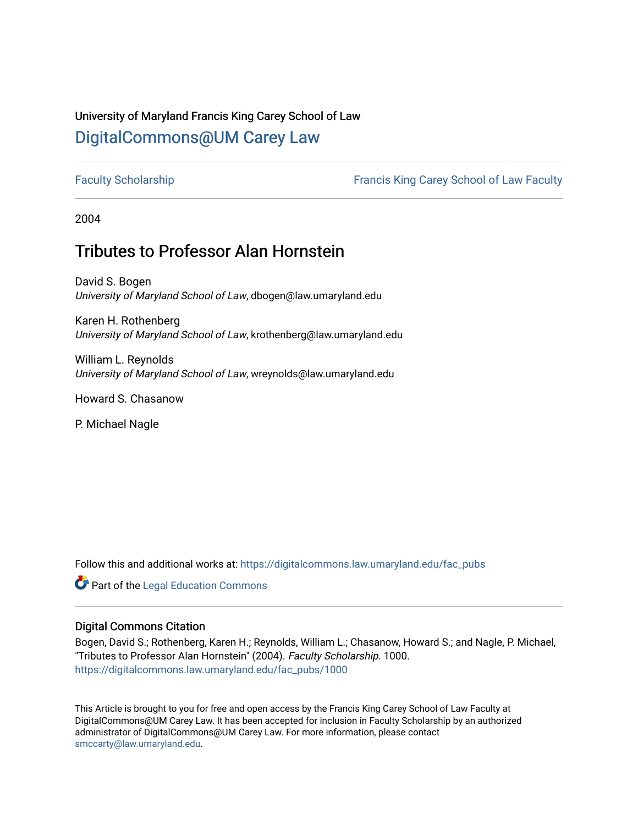# University of Maryland Francis King Carey School of Law [DigitalCommons@UM Carey Law](https://digitalcommons.law.umaryland.edu/)

[Faculty Scholarship](https://digitalcommons.law.umaryland.edu/fac_pubs) [Francis King Carey School of Law Faculty](https://digitalcommons.law.umaryland.edu/law_faculty) 

2004

# Tributes to Professor Alan Hornstein

David S. Bogen University of Maryland School of Law, dbogen@law.umaryland.edu

Karen H. Rothenberg University of Maryland School of Law, krothenberg@law.umaryland.edu

William L. Reynolds University of Maryland School of Law, wreynolds@law.umaryland.edu

Howard S. Chasanow

P. Michael Nagle

Follow this and additional works at: [https://digitalcommons.law.umaryland.edu/fac\\_pubs](https://digitalcommons.law.umaryland.edu/fac_pubs?utm_source=digitalcommons.law.umaryland.edu%2Ffac_pubs%2F1000&utm_medium=PDF&utm_campaign=PDFCoverPages) 

**Part of the Legal Education Commons** 

#### Digital Commons Citation

Bogen, David S.; Rothenberg, Karen H.; Reynolds, William L.; Chasanow, Howard S.; and Nagle, P. Michael, "Tributes to Professor Alan Hornstein" (2004). Faculty Scholarship. 1000. [https://digitalcommons.law.umaryland.edu/fac\\_pubs/1000](https://digitalcommons.law.umaryland.edu/fac_pubs/1000?utm_source=digitalcommons.law.umaryland.edu%2Ffac_pubs%2F1000&utm_medium=PDF&utm_campaign=PDFCoverPages) 

This Article is brought to you for free and open access by the Francis King Carey School of Law Faculty at DigitalCommons@UM Carey Law. It has been accepted for inclusion in Faculty Scholarship by an authorized administrator of DigitalCommons@UM Carey Law. For more information, please contact [smccarty@law.umaryland.edu](mailto:smccarty@law.umaryland.edu).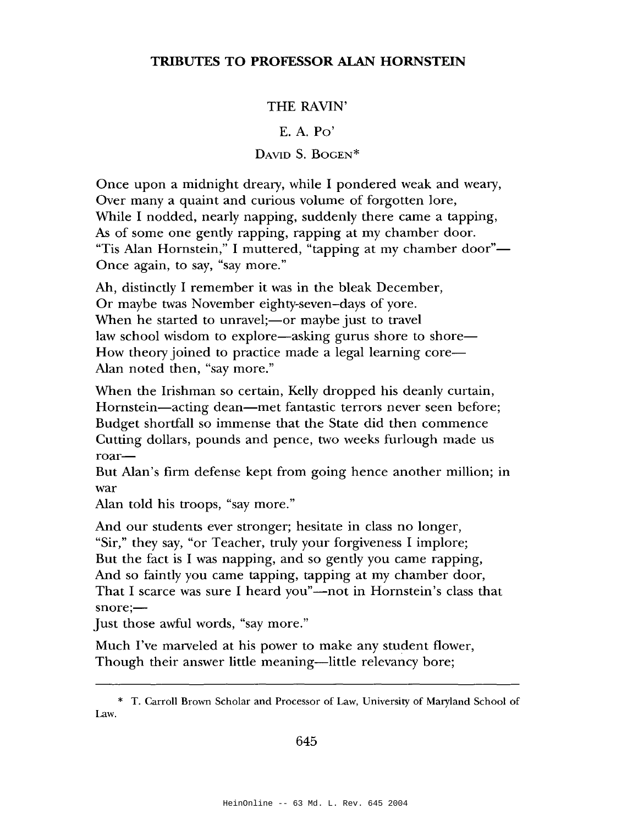# **TRIBUTES TO PROFESSOR ALAN HORNSTEIN**

## THE RAVIN'

## E. A. Po'

# DAVID S. BOGEN\*

Once upon a midnight dreary, while I pondered weak and weary, Over many a quaint and curious volume of forgotten lore, While I nodded, nearly napping, suddenly there came a tapping, As of some one gently rapping, rapping at my chamber door. "Tis Alan Hornstein," I muttered, "tapping at my chamber door"— Once again, to say, "say more."

Ah, distinctly I remember it was in the bleak December, Or maybe twas November eighty-seven-days of yore. When he started to unravel;—or maybe just to travel law school wisdom to explore—asking gurus shore to shore— How theory joined to practice made a legal learning core— Alan noted then, "say more."

When the Irishman so certain, Kelly dropped his deanly curtain, Hornstein—acting dean—met fantastic terrors never seen before; Budget shortfall so immense that the State did then commence Cutting dollars, pounds and pence, two weeks furlough made us roar-

But Alan's firm defense kept from going hence another million; in war

Alan told his troops, "say more."

And our students ever stronger; hesitate in class no longer, "Sir," they say, "or Teacher, truly your forgiveness I implore; But the fact is I was napping, and so gently you came rapping, And so faintly you came tapping, tapping at my chamber door, That I scarce was sure I heard you"—not in Hornstein's class that snore;-

Just those awful words, "say more."

Much I've marveled at his power to make any student flower, Though their answer little meaning—little relevancy bore;

<sup>\*</sup> T. Carroll Brown Scholar and Processor of Law, University of Maryland School of Law.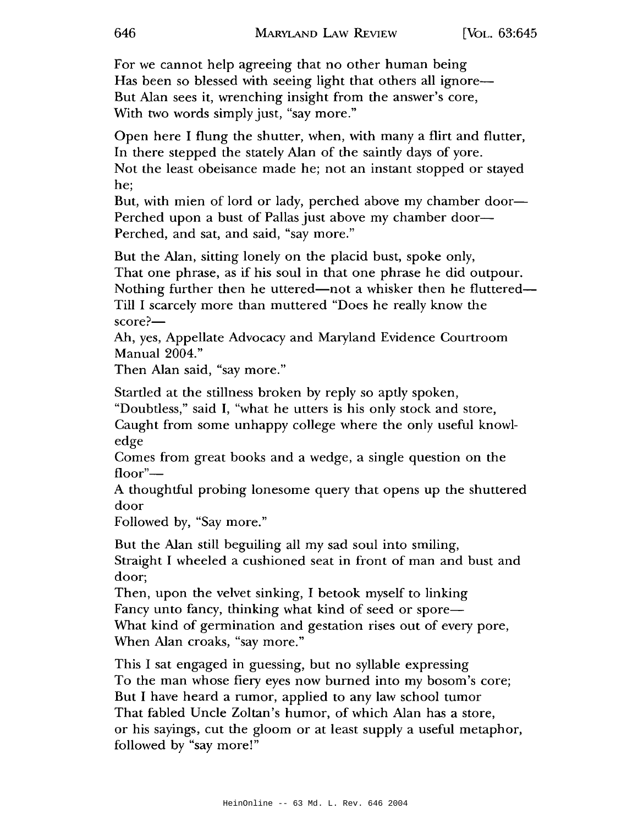For we cannot help agreeing that no other human being Has been so blessed with seeing light that others all ignore— But Alan sees it, wrenching insight from the answer's core, With two words simply just, "say more."

Open here I flung the shutter, when, with many a flirt and flutter, In there stepped the stately Alan of the saintly days of yore. Not the least obeisance made he; not an instant stopped or stayed he;

But, with mien of lord or lady, perched above my chamber door— Perched upon a bust of Pallas just above my chamber door-Perched, and sat, and said, "say more."

But the Alan, sitting lonely on the placid bust, spoke only, That one phrase, as if his soul in that one phrase he did outpour. Nothing further then he uttered—not a whisker then he fluttered— Till I scarcely more than muttered "Does he really know the score?—

Ah, yes, Appellate Advocacy and Maryland Evidence Courtroom Manual 2004."

Then Alan said, "say more."

Startled at the stillness broken by reply so aptly spoken, "Doubtless," said I, "what he utters is his only stock and store, Caught from some unhappy college where the only useful knowledge

Comes from great books and a wedge, a single question on the floor"—

A thoughtful probing lonesome query that opens up the shuttered door

Followed by, "Say more."

But the Alan still beguiling all my sad soul into smiling, Straight I wheeled a cushioned seat in front of man and bust and door;

Then, upon the velvet sinking, I betook myself to linking Fancy unto fancy, thinking what kind of seed or spore— What kind of germination and gestation rises out of every pore, When Alan croaks, "say more."

This I sat engaged in guessing, but no syllable expressing To the man whose fiery eyes now burned into my bosom's core; But I have heard a rumor, applied to any law school tumor That fabled Uncle Zoltan's humor, of which Alan has a store, or his sayings, cut the gloom or at least supply a useful metaphor, followed by "say more!"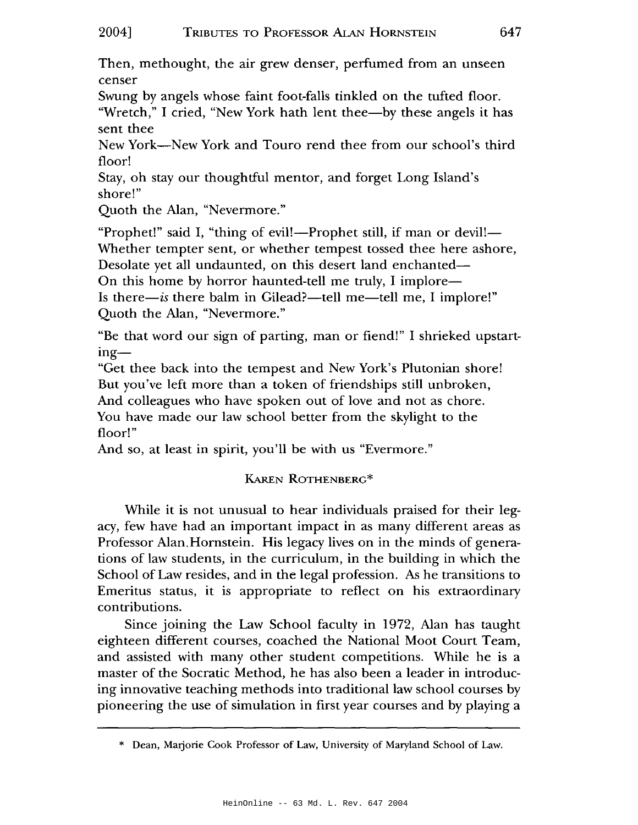Then, methought, the air grew denser, perfumed from an unseen censer

Swung by angels whose faint foot-falls tinkled on the tufted floor.

"Wretch," I cried, "New York hath lent thee--by these angels it has sent thee

New York-New York and Touro rend thee from our school's third floor!

Stay, oh stay our thoughtful mentor, and forget Long Island's shore!"

Quoth the Alan, "Nevermore."

"Prophet!" said I, "thing of evil!—Prophet still, if man or devil!— Whether tempter sent, or whether tempest tossed thee here ashore, Desolate yet all undaunted, on this desert land enchanted—

On this home by horror haunted-tell me truly, I implore—

Is there-is there balm in Gilead?-tell me-tell me, I implore!" Quoth the Alan, "Nevermore."

"Be that word our sign of parting, man or fiend!" I shrieked upstarting-

"Get thee back into the tempest and New York's Plutonian shore! But you've left more than a token of friendships still unbroken, And colleagues who have spoken out of love and not as chore. You have made our law school better from the skylight to the floor!"

And so, at least in spirit, you'll be with us "Evermore."

# KAREN ROTHENBERG\*

While it is not unusual to hear individuals praised for their legacy, few have had an important impact in as many different areas as Professor Alan. Hornstein. His legacy lives on in the minds of generations of law students, in the curriculum, in the building in which the School of Law resides, and in the legal profession. As he transitions to Emeritus status, it is appropriate to reflect on his extraordinary contributions.

Since joining the Law School faculty in 1972, Alan has taught eighteen different courses, coached the National Moot Court Team, and assisted with many other student competitions. While he is a master of the Socratic Method, he has also been a leader in introducing innovative teaching methods into traditional law school courses by pioneering the use of simulation in first year courses and by playing a

<sup>\*</sup> Dean, Marjorie Cook Professor of Law, University of Maryland School of Law.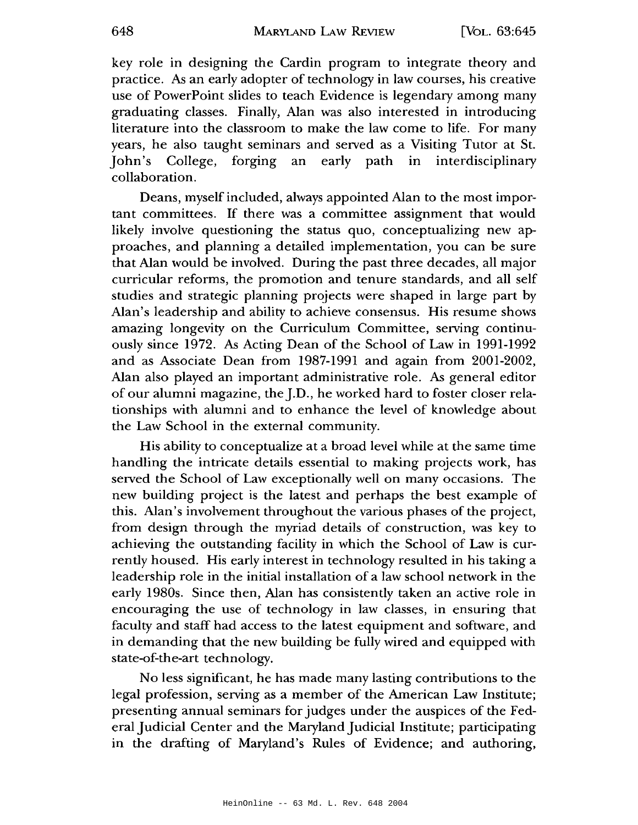key role in designing the Cardin program to integrate theory and practice. As an early adopter of technology in law courses, his creative use of PowerPoint slides to teach Evidence is legendary among many graduating classes. Finally, Alan was also interested in introducing literature into the classroom to make the law come to life. For many years, he also taught seminars and served as a Visiting Tutor at St. John's College, forging an early path in interdisciplinary collaboration.

Deans, myself included, always appointed Alan to the most important committees. If there was a committee assignment that would likely involve questioning the status quo, conceptualizing new approaches, and planning a detailed implementation, you can be sure that Alan would be involved. During the past three decades, all major curricular reforms, the promotion and tenure standards, and all self studies and strategic planning projects were shaped in large part by Alan's leadership and ability to achieve consensus. His resume shows amazing longevity on the Curriculum Committee, serving continuously since 1972. As Acting Dean of the School of Law in 1991-1992 and as Associate Dean from 1987-1991 and again from 2001-2002, Alan also played an important administrative role. As general editor of our alumni magazine, the J.D., he worked hard to foster closer relationships with alumni and to enhance the level of knowledge about the Law School in the external community.

His ability to conceptualize at a broad level while at the same time handling the intricate details essential to making projects work, has served the School of Law exceptionally well on many occasions. The new building project is the latest and perhaps the best example of this. Alan's involvement throughout the various phases of the project, from design through the myriad details of construction, was key to achieving the outstanding facility in which the School of Law is currently housed. His early interest in technology resulted in his taking a leadership role in the initial installation of a law school network in the early 1980s. Since then, Alan has consistently taken an active role in encouraging the use of technology in law classes, in ensuring that faculty and staff had access to the latest equipment and software, and in demanding that the new building be fully wired and equipped with state-of-the-art technology.

No less significant, he has made many lasting contributions to the legal profession, serving as a member of the American Law Institute; presenting annual seminars for judges under the auspices of the Federal Judicial Center and the Maryland Judicial Institute; participating in the drafting of Maryland's Rules of Evidence; and authoring,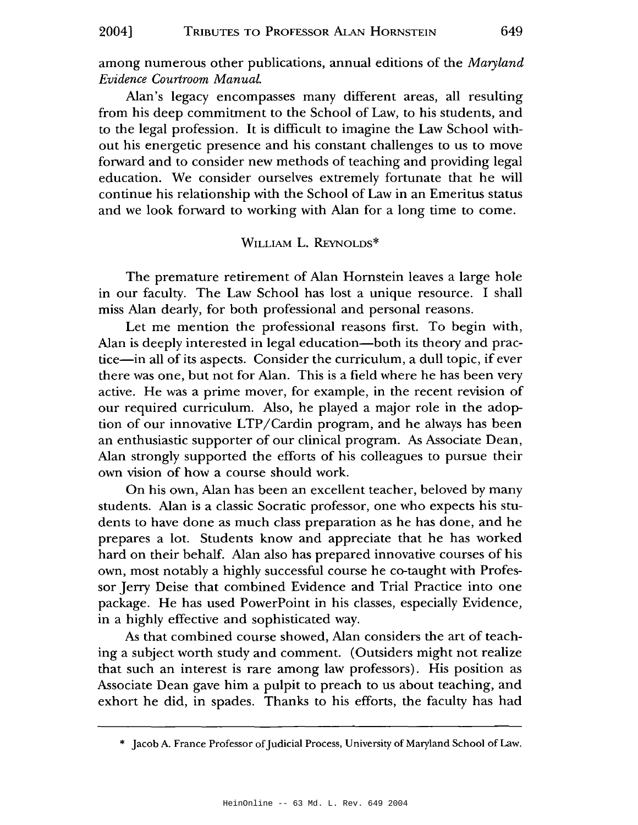among numerous other publications, annual editions of the *Maryland l!.vidence Courtroom Manual.* 

Alan's legacy encompasses many different areas, all resulting from his deep commitment to the School of Law, to his students, and to the legal profession. It is difficult to imagine the Law School without his energetic presence and his constant challenges to us to move forward and to consider new methods of teaching and providing legal education. We consider ourselves extremely fortunate that he will continue his relationship with the School of Law in an Emeritus status and we look forward to working with Alan for a long time to come.

#### WILLIAM L. REYNOLDS\*

The premature retirement of Alan Hornstein leaves a large hole in our faculty. The Law School has lost a unique resource. I shall miss Alan dearly, for both professional and personal reasons.

Let me mention the professional reasons first. To begin with, Alan is deeply interested in legal education—both its theory and practice-in all of its aspects. Consider the curriculum, a dull topic, if ever there was one, but not for Alan. This is a field where he has been very active. He was a prime mover, for example, in the recent revision of our required curriculum. Also, he played a major role in the adoption of our innovative LTP/Cardin program, and he always has been an enthusiastic supporter of our clinical program. *As* Associate Dean, Alan strongly supported the efforts of his colleagues to pursue their own vision of how a course should work.

On his own, Alan has been an excellent teacher, beloved by many students. Alan is a classic Socratic professor, one who expects his students to have done as much class preparation as he has done, and he prepares a lot. Students know and appreciate that he has worked hard on their behalf. Alan also has prepared innovative courses of his own, most notably a highly successful course he co-taught with Professor Jerry Deise that combined Evidence and Trial Practice into one package. He has used PowerPoint in his classes, especially Evidence, in a highly effective and sophisticated way.

*As* that combined course showed, Alan considers the art of teaching a subject worth study and comment. (Outsiders might not realize that such an interest is rare among law professors). His position as Associate Dean gave him a pulpit to preach to us about teaching, and exhort he did, in spades. Thanks to his efforts, the faculty has had

<sup>\*</sup> Jacob A. France Professor of Judicial Process, University of Maryland School of Law.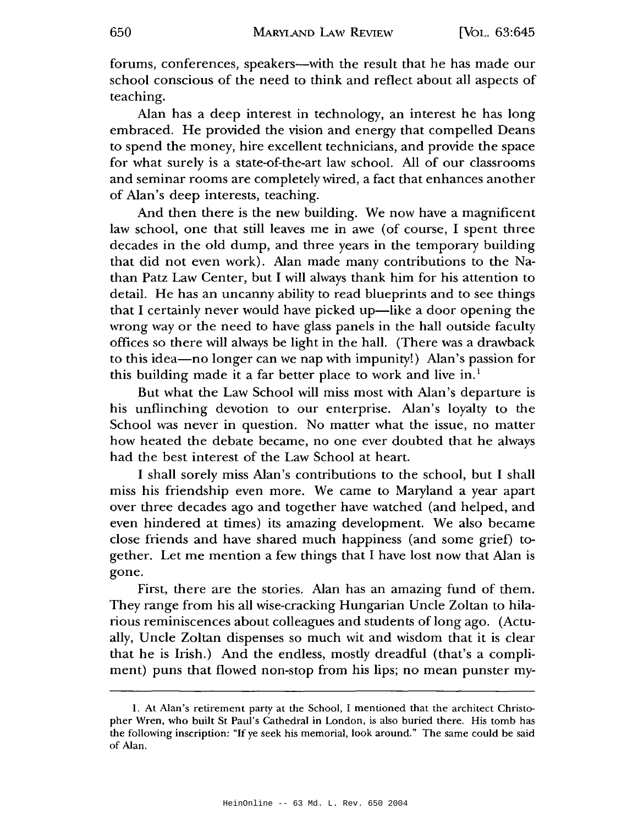forums, conferences, speakers-with the result that he has made our school conscious of the need to think and reflect about all aspects of teaching.

Alan has a deep interest in technology, an interest he has long embraced. He provided the vision and energy that compelled Deans to spend the money, hire excellent technicians, and provide the space for what surely is a state-of-the-art law school. All of our classrooms and seminar rooms are completely wired, a fact that enhances another of Alan's deep interests, teaching.

And then there is the new building. We now have a magnificent law school, one that still leaves me in awe (of course, I spent three decades in the old dump, and three years in the temporary building that did not even work). Alan made many contributions to the Nathan Patz Law Center, but I will always thank him for his attention to detail. He has an uncanny ability to read blueprints and to see things that I certainly never would have picked up—like a door opening the wrong way or the need to have glass panels in the hall outside faculty offices so there will always be light in the hall. (There was a drawback to this idea-no longer can we nap with impunity!) Alan's passion for this building made it a far better place to work and live  $in.$ <sup>1</sup>

But what the Law School will miss most with Alan's departure is his unflinching devotion to our enterprise. Alan's loyalty to the School was never in question. No matter what the issue, no matter how heated the debate became, no one ever doubted that he always had the best interest of the Law School at heart.

I shall sorely miss Alan's contributions to the school, but I shall miss his friendship even more. We came to Maryland a year apart over three decades ago and together have watched (and helped, and even hindered at times) its amazing development. We also became close friends and have shared much happiness (and some grief) together. Let me mention a few things that I have lost now that Alan is gone.

First, there are the stories. Alan has an amazing fund of them. They range from his all wise-cracking Hungarian Uncle Zoltan to hilarious reminiscences about colleagues and students of long ago. (Actually, Uncle Zoltan dispenses so much wit and wisdom that it is clear that he is Irish.) And the endless, mostly dreadful (that's a compliment) puns that flowed non-stop from his lips; no mean punster my-

l. At Alan's retirement party at the School, I mentioned that the architect Christopher Wren, who built St Paul's Cathedral in London, is also buried there. His tomb has the following inscription: "If ye seek his memorial, look around." The same could be said of Alan.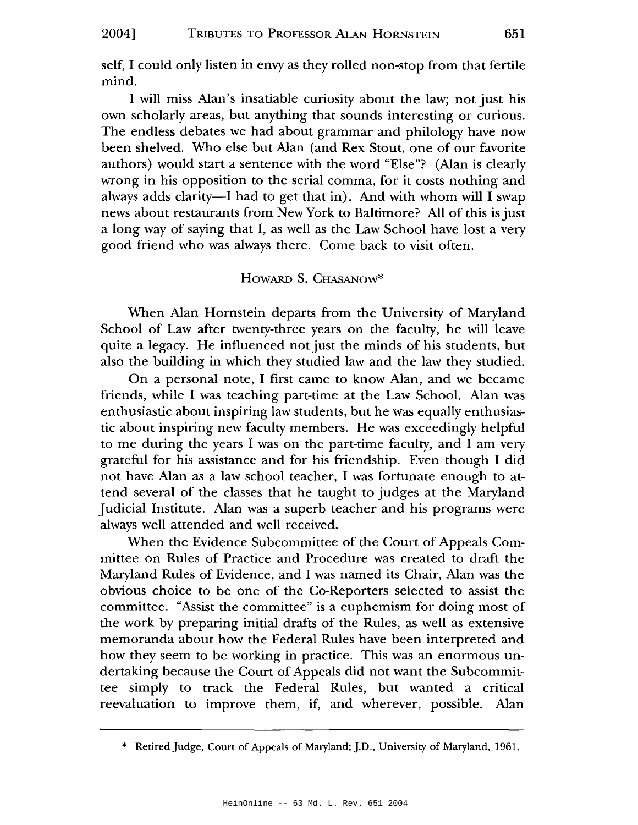self, I could only listen in envy as they rolled non-stop from that fertile mind.

I will miss Alan's insatiable curiosity about the law; not just his own scholarly areas, but anything that sounds interesting or curious. The endless debates we had about grammar and philology have now been shelved. Who else but Alan (and Rex Stout, one of our favorite authors) would start a sentence with the word "Else"? (Alan is clearly wrong in his opposition to the serial comma, for it costs nothing and always adds clarity—I had to get that in). And with whom will I swap news about restaurants from New York to Baltimore? All of this is just a long way of saying that I, as well as the Law School have lost a very good friend who was always there. Come back to visit often.

#### HowARD S. CHASANow\*

When Alan Hornstein departs from the University of Maryland School of Law after twenty-three years on the faculty, he will leave quite a legacy. He influenced not just the minds of his students, but also the building in which they studied law and the law they studied.

On a personal note, I first came to know Alan, and we became friends, while I was teaching part-time at the Law School. Alan was enthusiastic about inspiring law students, but he was equally enthusiastic about inspiring new faculty members. He was exceedingly helpful to me during the years I was on the part-time faculty, and I am very grateful for his assistance and for his friendship. Even though I did not have Alan as a law school teacher, I was fortunate enough to attend several of the classes that he taught to judges at the Maryland Judicial Institute. Alan was a superb teacher and his programs were always well attended and well received.

When the Evidence Subcommittee of the Court of Appeals Committee on Rules of Practice and Procedure was created to draft the Maryland Rules of Evidence, and I was named its Chair, Alan was the obvious choice to be one of the Co-Reporters selected to assist the committee. "Assist the committee" is a euphemism for doing most of the work by preparing initial drafts of the Rules, as well as extensive memoranda about how the Federal Rules have been interpreted and how they seem to be working in practice. This was an enormous undertaking because the Court of Appeals did not want the Subcommittee simply to track the Federal Rules, but wanted a critical reevaluation to improve them, if, and wherever, possible. Alan

<sup>\*</sup> Retired Judge, Court of Appeals of Maryland; J.D., University of Maryland, 1961.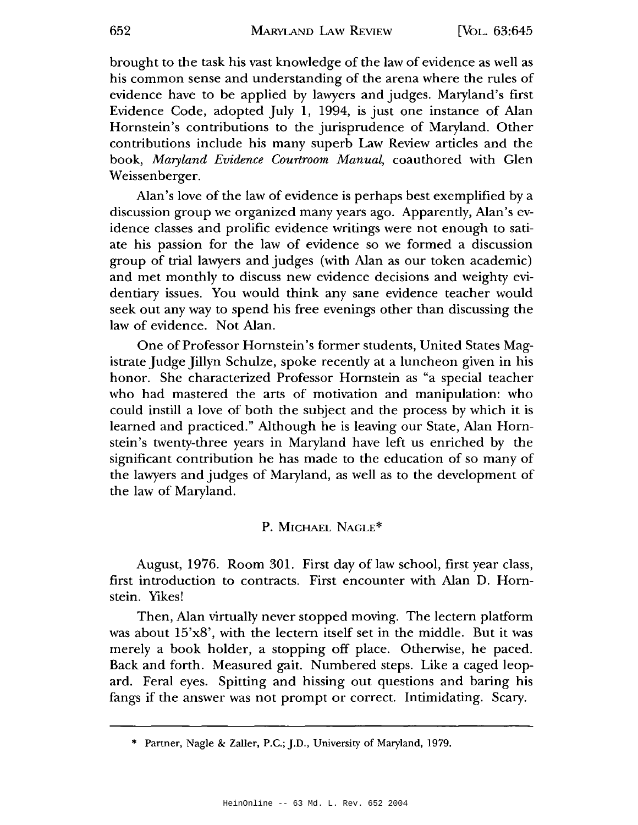brought to the task his vast knowledge of the law of evidence as well as his common sense and understanding of the arena where the rules of evidence have to be applied by lawyers and judges. Maryland's first Evidence Code, adopted July 1, 1994, is just one instance of Alan Hornstein's contributions to the jurisprudence of Maryland. Other contributions include his many superb Law Review articles and the book, *Maryland Evidence Courtroom Manual,* coauthored with Glen Weissenberger.

Alan's love of the law of evidence is perhaps best exemplified by a discussion group we organized many years ago. Apparently, Alan's evidence classes and prolific evidence writings were not enough to satiate his passion for the law of evidence so we formed a discussion group of trial lawyers and judges (with Alan as our token academic) and met monthly to discuss new evidence decisions and weighty evidentiary issues. You would think any sane evidence teacher would seek out any way to spend his free evenings other than discussing the law of evidence. Not Alan.

One of Professor Hornstein's former students, United States Magistrate Judge Jillyn Schulze, spoke recently at a luncheon given in his honor. She characterized Professor Hornstein as "a special teacher who had mastered the arts of motivation and manipulation: who could instill a love of both the subject and the process by which it is learned and practiced." Although he is leaving our State, Alan Hornstein's twenty-three years in Maryland have left us enriched by the significant contribution he has made to the education of so many of the lawyers and judges of Maryland, as well as to the development of the law of Maryland.

#### P. MICHAEL NAGLE\*

August, 1976. Room 301. First day of law school, first year class, first introduction to contracts. First encounter with Alan D. Hornstein. Yikes!

Then, Alan virtually never stopped moving. The lectern platform was about 15'x8', with the lectern itself set in the middle. But it was merely a book holder, a stopping off place. Otherwise, he paced. Back and forth. Measured gait. Numbered steps. Like a caged leopard. Feral eyes. Spitting and hissing out questions and baring his fangs if the answer was not prompt or correct. Intimidating. Scary.

<sup>\*</sup> Parmer, Nagle & Zaller, P.C.; J.D., University of Maryland, 1979.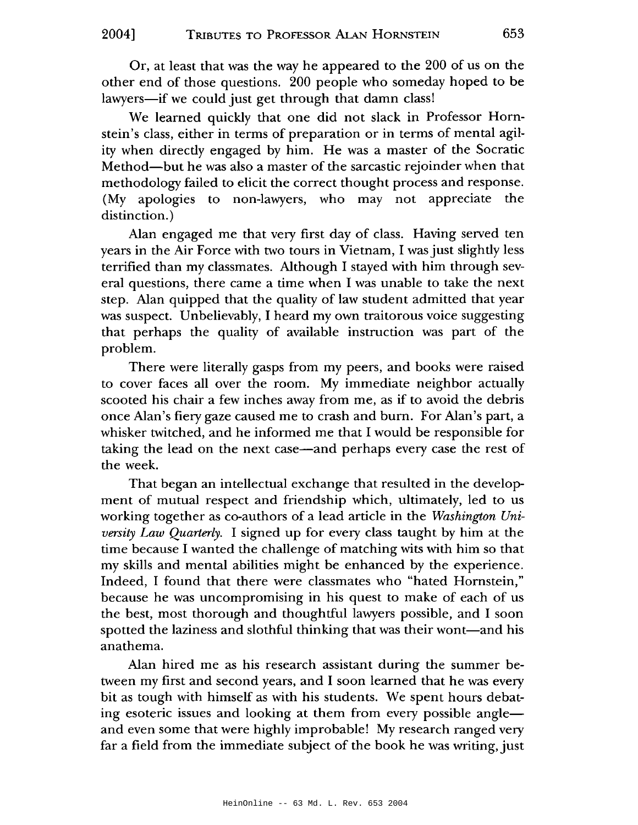Or, at least that was the way he appeared to the 200 of us on the other end of those questions. 200 people who someday hoped to be lawyers-if we could just get through that damn class!

We learned quickly that one did not slack in Professor Hornstein's class, either in terms of preparation or in terms of mental agility when directly engaged by him. He was a master of the Socratic Method-but he was also a master of the sarcastic rejoinder when that methodology failed to elicit the correct thought process and response. (My apologies to non-lawyers, who may not appreciate the distinction.)

Alan engaged me that very first day of class. Having served ten years in the Air Force with two tours in Vietnam, I was just slightly less terrified than my classmates. Although I stayed with him through several questions, there came a time when I was unable to take the next step. Alan quipped that the quality of law student admitted that year was suspect. Unbelievably, I heard my own traitorous voice suggesting that perhaps the quality of available instruction was part of the problem.

There were literally gasps from my peers, and books were raised to cover faces all over the room. My immediate neighbor actually scooted his chair a few inches away from me, as if to avoid the debris once Alan's fiery gaze caused me to crash and burn. For Alan's part, a whisker twitched, and he informed me that I would be responsible for taking the lead on the next case-and perhaps every case the rest of the week.

That began an intellectual exchange that resulted in the development of mutual respect and friendship which, ultimately, led to us working together as co-authors of a lead article in the *Washington University Law Quarterly.* I signed up for every class taught by him at the time because I wanted the challenge of matching wits with him so that my skills and mental abilities might be enhanced by the experience. Indeed, I found that there were classmates who "hated Hornstein," because he was uncompromising in his quest to make of each of us the best, most thorough and thoughtful lawyers possible, and I soon spotted the laziness and slothful thinking that was their wont-and his anathema.

Alan hired me as his research assistant during the summer between my first and second years, and I soon learned that he was every bit as tough with himself as with his students. We spent hours debating esoteric issues and looking at them from every possible angle and even some that were highly improbable! My research ranged very far a field from the immediate subject of the book he was writing, just